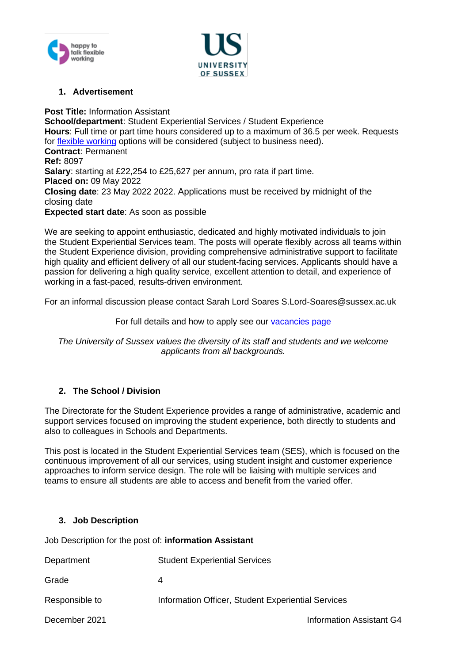



# **1. Advertisement**

**Post Title:** Information Assistant **School/department**: Student Experiential Services / Student Experience **Hours**: Full time or part time hours considered up to a maximum of 36.5 per week. Requests for [flexible working](https://www.sussex.ac.uk/humanresources/business-services/flexible-working) options will be considered (subject to business need). **Contract**: Permanent **Ref:** 8097 **Salary**: starting at £22,254 to £25,627 per annum, pro rata if part time. **Placed on:** 09 May 2022 **Closing date**: 23 May 2022 2022. Applications must be received by midnight of the closing date **Expected start date**: As soon as possible

We are seeking to appoint enthusiastic, dedicated and highly motivated individuals to join the Student Experiential Services team. The posts will operate flexibly across all teams within the Student Experience division, providing comprehensive administrative support to facilitate high quality and efficient delivery of all our student-facing services. Applicants should have a passion for delivering a high quality service, excellent attention to detail, and experience of working in a fast-paced, results-driven environment.

For an informal discussion please contact Sarah Lord Soares S.Lord-Soares@sussex.ac.uk

### For full details and how to apply see our vacancies page

*The University of Sussex values the diversity of its staff and students and we welcome applicants from all backgrounds.*

# **2. The School / Division**

The Directorate for the Student Experience provides a range of administrative, academic and support services focused on improving the student experience, both directly to students and also to colleagues in Schools and Departments.

This post is located in the Student Experiential Services team (SES), which is focused on the continuous improvement of all our services, using student insight and customer experience approaches to inform service design. The role will be liaising with multiple services and teams to ensure all students are able to access and benefit from the varied offer.

### **3. Job Description**

Job Description for the post of: **information Assistant** 

| Department     | <b>Student Experiential Services</b>               |
|----------------|----------------------------------------------------|
| Grade          | 4                                                  |
| Responsible to | Information Officer, Student Experiential Services |
| December 2021  | <b>Information Assistant G4</b>                    |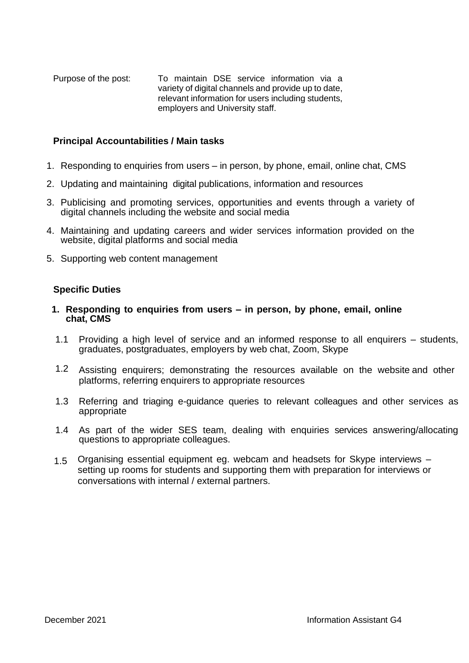Purpose of the post: To maintain DSE service information via a variety of digital channels and provide up to date, relevant information for users including students, employers and University staff.

# **Principal Accountabilities / Main tasks**

- 1. Responding to enquiries from users in person, by phone, email, online chat, CMS
- 2. Updating and maintaining digital publications, information and resources
- 3. Publicising and promoting services, opportunities and events through a variety of digital channels including the website and social media
- 4. Maintaining and updating careers and wider services information provided on the website, digital platforms and social media
- 5. Supporting web content management

# **Specific Duties**

- **1. Responding to enquiries from users – in person, by phone, email, online chat, CMS**
- 1.1 Providing a high level of service and an informed response to all enquirers students, graduates, postgraduates, employers by web chat, Zoom, Skype
- 1.2 Assisting enquirers; demonstrating the resources available on the website and other platforms, referring enquirers to appropriate resources
- 1.3 Referring and triaging e-guidance queries to relevant colleagues and other services as appropriate
- 1.4 As part of the wider SES team, dealing with enquiries services answering/allocating questions to appropriate colleagues.
- 1.5 Organising essential equipment eg. webcam and headsets for Skype interviews – setting up rooms for students and supporting them with preparation for interviews or conversations with internal / external partners.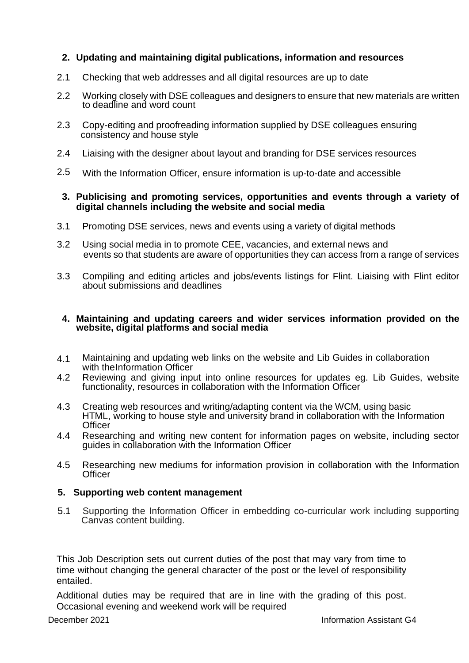# **2. Updating and maintaining digital publications, information and resources**

- 2.1 Checking that web addresses and all digital resources are up to date
- 2.2 Working closely with DSE colleagues and designers to ensure that new materials are written to deadline and word count
- 2.3 Copy-editing and proofreading information supplied by DSE colleagues ensuring consistency and house style
- 2.4 Liaising with the designer about layout and branding for DSE services resources
- 2.5 With the Information Officer, ensure information is up-to-date and accessible

# **3. Publicising and promoting services, opportunities and events through a variety of digital channels including the website and social media**

- 3.1 Promoting DSE services, news and events using a variety of digital methods
- 3.2 Using social media in to promote CEE, vacancies, and external news and events so that students are aware of opportunities they can access from a range of services
- 3.3 Compiling and editing articles and jobs/events listings for Flint. Liaising with Flint editor about submissions and deadlines

### **4. Maintaining and updating careers and wider services information provided on the website, digital platforms and social media**

- 4.1 Maintaining and updating web links on the website and Lib Guides in collaboration with theInformation Officer
- 4.2 Reviewing and giving input into online resources for updates eg. Lib Guides, website functionality, resources in collaboration with the Information Officer
- 4.3 Creating web resources and writing/adapting content via the WCM, using basic HTML, working to house style and university brand in collaboration with the Information **Officer**
- 4.4 Researching and writing new content for information pages on website, including sector guides in collaboration with the Information Officer
- 4.5 Researching new mediums for information provision in collaboration with the Information **Officer**

# **5. Supporting web content management**

5.1 Supporting the Information Officer in embedding co-curricular work including supporting Canvas content building.

This Job Description sets out current duties of the post that may vary from time to time without changing the general character of the post or the level of responsibility entailed.

Additional duties may be required that are in line with the grading of this post. Occasional evening and weekend work will be required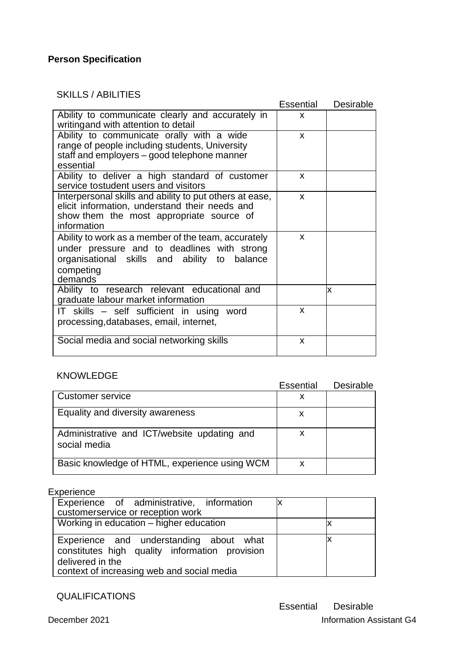# **Person Specification**

# SKILLS / ABILITIES

|                                                                                         | <b>Essential</b> | Desirable |
|-----------------------------------------------------------------------------------------|------------------|-----------|
| Ability to communicate clearly and accurately in<br>writingand with attention to detail | X                |           |
| Ability to communicate orally with a wide                                               | $\mathsf{x}$     |           |
| range of people including students, University                                          |                  |           |
| staff and employers – good telephone manner                                             |                  |           |
| essential                                                                               |                  |           |
| Ability to deliver a high standard of customer                                          | X                |           |
| service tostudent users and visitors                                                    |                  |           |
| Interpersonal skills and ability to put others at ease,                                 | $\mathbf{x}$     |           |
| elicit information, understand their needs and                                          |                  |           |
| show them the most appropriate source of                                                |                  |           |
| information                                                                             |                  |           |
| Ability to work as a member of the team, accurately                                     | $\mathbf{x}$     |           |
| under pressure and to deadlines with strong                                             |                  |           |
| organisational skills and ability to<br>balance                                         |                  |           |
| competing                                                                               |                  |           |
| demands                                                                                 |                  |           |
| Ability to research relevant educational and                                            |                  | x         |
| graduate labour market information                                                      |                  |           |
| IT skills – self sufficient in using word                                               | X                |           |
| processing, databases, email, internet,                                                 |                  |           |
|                                                                                         |                  |           |
| Social media and social networking skills                                               | X                |           |
|                                                                                         |                  |           |

# KNOWLEDGE

| <b>INNUMELLUJL</b>                                          | <b>Essential</b> | <b>Desirable</b> |
|-------------------------------------------------------------|------------------|------------------|
| Customer service                                            | x                |                  |
| Equality and diversity awareness                            | X                |                  |
| Administrative and ICT/website updating and<br>social media | x                |                  |
| Basic knowledge of HTML, experience using WCM               | X                |                  |

### Experience

| Experience of administrative, information                                                                                                                   |  |
|-------------------------------------------------------------------------------------------------------------------------------------------------------------|--|
| customerservice or reception work                                                                                                                           |  |
| Working in education – higher education                                                                                                                     |  |
| Experience and understanding about what<br>constitutes high quality information provision<br>delivered in the<br>context of increasing web and social media |  |

# QUALIFICATIONS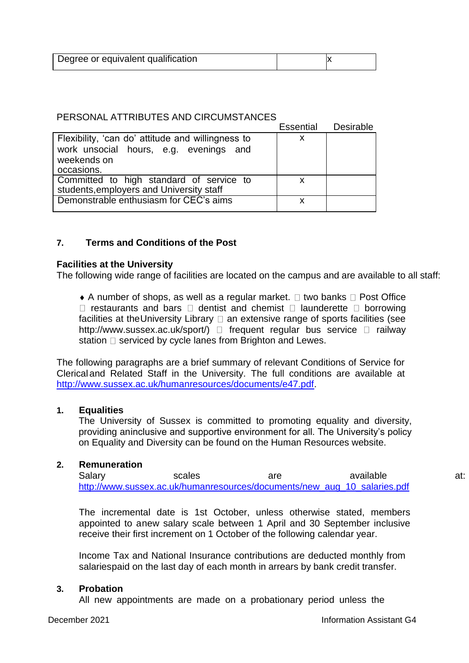| Degree or equivalent qualification |  |
|------------------------------------|--|

### PERSONAL ATTRIBUTES AND CIRCUMSTANCES

|                                                   | <b>Essential</b> | Desirable |
|---------------------------------------------------|------------------|-----------|
| Flexibility, 'can do' attitude and willingness to | X                |           |
| work unsocial hours, e.g. evenings and            |                  |           |
| weekends on                                       |                  |           |
| occasions.                                        |                  |           |
| Committed to high standard of service to          |                  |           |
| students, employers and University staff          |                  |           |
| Demonstrable enthusiasm for CEC's aims            |                  |           |
|                                                   |                  |           |

# **7. Terms and Conditions of the Post**

#### **Facilities at the University**

The following wide range of facilities are located on the campus and are available to all staff:

 $\bullet$  A number of shops, as well as a regular market.  $\Box$  two banks  $\Box$  Post Office  $\Box$  restaurants and bars  $\Box$  dentist and chemist  $\Box$  launderette  $\Box$  borrowing facilities at the University Library  $\Box$  an extensive range of sports facilities (see [http://www.sussex.ac.uk/sport/\)](http://www.sussex.ac.uk/sport/))  $\Box$  frequent regular bus service  $\Box$  railway station  $\square$  serviced by cycle lanes from Brighton and Lewes.

The following paragraphs are a brief summary of relevant Conditions of Service for Clerical and Related Staff in the University. The full conditions are available at [http://www.sussex.ac.uk/humanresources/documents/e47.pdf.](http://www.sussex.ac.uk/humanresources/documents/e47.pdf)

### **1. Equalities**

The University of Sussex is committed to promoting equality and diversity, providing aninclusive and supportive environment for all. The University's policy on Equality and Diversity can be found on the Human Resources website.

# **2. Remuneration**

Salary scales are available at: [http://www.sussex.ac.uk/humanresources/documents/new\\_aug\\_10\\_salaries.pdf](http://www.sussex.ac.uk/humanresources/documents/new_aug_10_salaries.pdf)

The incremental date is 1st October, unless otherwise stated, members appointed to anew salary scale between 1 April and 30 September inclusive receive their first increment on 1 October of the following calendar year.

Income Tax and National Insurance contributions are deducted monthly from salariespaid on the last day of each month in arrears by bank credit transfer.

# **3. Probation**

All new appointments are made on a probationary period unless the